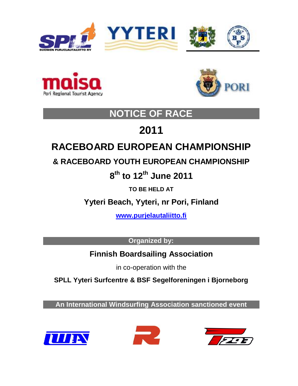





# **NOTICE OF RACE**

# **2011**

# **RACEBOARD EUROPEAN CHAMPIONSHIP**

# **& RACEBOARD YOUTH EUROPEAN CHAMPIONSHIP**

**8 th to 12 th June 2011**

**TO BE HELD AT**

**Yyteri Beach, Yyteri, nr Pori, Finland**

**[www.purjelautaliitto.fi](http://www.purjelautaliitto.fi/)**

**Organized by:**

**Finnish Boardsailing Association**

in co-operation with the

**SPLL Yyteri Surfcentre & BSF Segelforeningen i Bjorneborg**

**An International Windsurfing Association sanctioned event**





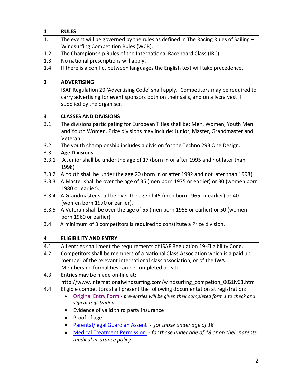# **1 RULES**

- 1.1 The event will be governed by the rules as defined in The Racing Rules of Sailing -Windsurfing Competition Rules (WCR).
- 1.2 The Championship Rules of the International Raceboard Class (IRC).
- 1.3 No national prescriptions will apply.
- 1.4 If there is a conflict between languages the English text will take precedence.

# **2 ADVERTISING**

ISAF Regulation 20 'Advertising Code' shall apply. Competitors may be required to carry advertising for event sponsors both on their sails, and on a lycra vest if supplied by the organiser.

# **3 CLASSES AND DIVISIONS**

- 3.1 The divisions participating for European Titles shall be: Men, Women, Youth Men and Youth Women. Prize divisions may include: Junior, Master, Grandmaster and Veteran.
- 3.2 The youth championship includes a division for the Techno 293 One Design.

# 3.3 **Age Divisions**:

- 3.3.1 A Junior shall be under the age of 17 (born in or after 1995 and not later than 1998)
- 3.3.2 A Youth shall be under the age 20 (born in or after 1992 and not later than 1998).
- 3.3.3 A Master shall be over the age of 35 (men born 1975 or earlier) or 30 (women born 1980 or earlier).
- 3.3.4 A Grandmaster shall be over the age of 45 (men born 1965 or earlier) or 40 (women born 1970 or earlier).
- 3.3.5 A Veteran shall be over the age of 55 (men born 1955 or earlier) or 50 (women born 1960 or earlier).
- 3.4 A minimum of 3 competitors is required to constitute a Prize division.

# **4 ELIGIBILITY AND ENTRY**

4.1 All entries shall meet the requirements of ISAF Regulation 19-Eligibility Code.

4.2 Competitors shall be members of a National Class Association which is a paid up member of the relevant international class association, or of the IWA. Membership formalities can be completed on site.

- 4.3 Entries may be made on-line at: http://www.internationalwindsurfing.com/windsurfing\_competion\_0028v01.htm
- 4.4 Eligible competitors shall present the following documentation at registration:
	- [Original Entry Form](http://www.internationalwindsurfing.com/userfiles/documents/RB_Europeans_2011_form_1.pdf) *pre-entries will be given their completed form 1 to check and sign at registration.*
	- Evidence of valid third party insurance
	- Proof of age
	- [Parental/legal Guardian Assent](http://www.internationalwindsurfing.com/userfiles/documents/RB_Europeans_2011_form_2.pdf) *for those under age of 18*
	- [Medical Treatment Permission](http://www.internationalwindsurfing.com/userfiles/documents/RB_Europeans_2011_form_3.pdf) *- for those under age of 18 or on their parents medical insurance policy*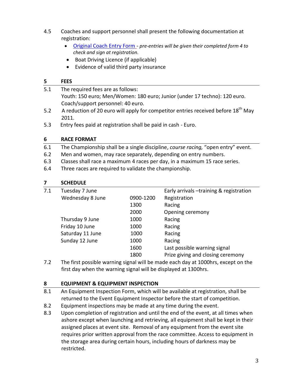- 4.5 Coaches and support personnel shall present the following documentation at registration:
	- [Original Coach Entry Form](http://www.internationalwindsurfing.com/userfiles/documents/RB_Europeans_2011_form_4.pdf) *pre-entries will be given their completed form 4 to check and sign at registration.*
	- Boat Driving Licence (if applicable)
	- Evidence of valid third party insurance

#### **5 FEES**

- 5.1 The required fees are as follows: Youth: 150 euro; Men/Women: 180 euro; Junior (under 17 techno): 120 euro. Coach/support personnel: 40 euro. 5.2 A reduction of 20 euro will apply for competitor entries received before  $18<sup>th</sup>$  May
- 2011.
- 5.3 Entry fees paid at registration shall be paid in cash Euro.

# **6 RACE FORMAT**

- 6.1 The Championship shall be a single discipline, *course racing,* "open entry" event.
- 6.2 Men and women, may race separately, depending on entry numbers.
- 6.3 Classes shall race a maximum 4 races per day, in a maximum 15 race series.
- 6.4 Three races are required to validate the championship.

# **7 SCHEDULE**

| 7.1 | Tuesday 7 June   |           | Early arrivals -training & registration |
|-----|------------------|-----------|-----------------------------------------|
|     | Wednesday 8 June | 0900-1200 | Registration                            |
|     |                  | 1300      | Racing                                  |
|     |                  | 2000      | Opening ceremony                        |
|     | Thursday 9 June  | 1000      | Racing                                  |
|     | Friday 10 June   | 1000      | Racing                                  |
|     | Saturday 11 June | 1000      | Racing                                  |
|     | Sunday 12 June   | 1000      | Racing                                  |
|     |                  | 1600      | Last possible warning signal            |
|     |                  | 1800      | Prize giving and closing ceremony       |
|     |                  |           |                                         |

7.2 The first possible warning signal will be made each day at 1000hrs, except on the first day when the warning signal will be displayed at 1300hrs.

# **8 EQUIPMENT & EQUIPMENT INSPECTION**

- 8.1 An Equipment Inspection Form, which will be available at registration, shall be returned to the Event Equipment Inspector before the start of competition.
- 8.2 Equipment inspections may be made at any time during the event.
- 8.3 Upon completion of registration and until the end of the event, at all times when ashore except when launching and retrieving, all equipment shall be kept in their assigned places at event site. Removal of any equipment from the event site requires prior written approval from the race committee. Access to equipment in the storage area during certain hours, including hours of darkness may be restricted.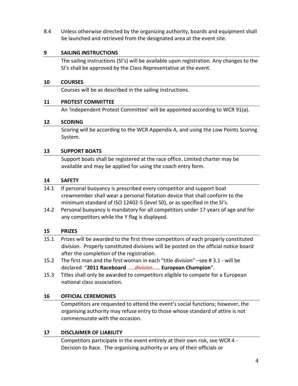8.4 Unless otherwise directed by the organizing authority, boards and equipment shall be launched and retrieved from the designated area at the event site.

#### **9 SAILING INSTRUCTIONS**

The sailing instructions (SI's) will be available upon registration. Any changes to the SI's shall be approved by the Class Representative at the event.

#### **10 COURSES**

Courses will be as described in the sailing instructions.

#### **11 PROTEST COMMITTEE**

An 'Independent Protest Committee' will be appointed according to WCR 91(a).

#### **12 SCORING**

Scoring will be according to the WCR Appendix A, and using the Low Points Scoring System.

#### **13 SUPPORT BOATS**

Support boats shall be registered at the race office. Limited charter may be available and may be applied for using the coach entry form.

#### **14 SAFETY**

- 14.1 If personal buoyancy is prescribed every competitor and support boat crewmember shall wear a personal flotation device that shall conform to the minimum standard of ISO 12402-5 (level 50), or as specified in the SI's.
- 14.2 Personal buoyancy is mandatory for all competitors under 17 years of age and for any competitors while the Y flag is displayed.

#### **15 PRIZES**

- 15.1 Prizes will be awarded to the first three competitors of each properly constituted division. Properly constituted divisions will be posted on the official notice board after the completion of the registration.
- 15.2 The first man and the first woman in each "title division" –see # 3.1 will be declared "**2011 Raceboard** *.....division*..... **European Champion**".
- 15.3 Titles shall only be awarded to competitors eligible to compete for a European national class association.

# **16 OFFICIAL CEREMONIES**

Competitors are requested to attend the event's social functions; however, the organising authority may refuse entry to those whose standard of attire is not commensurate with the occasion.

# **17 DISCLAIMER OF LIABILITY**

Competitors participate in the event entirely at their own risk, see WCR 4 - Decision to Race. The organising authority or any of their officials or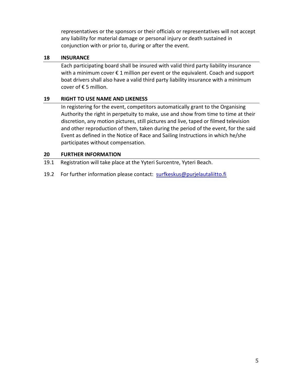representatives or the sponsors or their officials or representatives will not accept any liability for material damage or personal injury or death sustained in conjunction with or prior to, during or after the event.

#### **18 INSURANCE**

Each participating board shall be insured with valid third party liability insurance with a minimum cover € 1 million per event or the equivalent. Coach and support boat drivers shall also have a valid third party liability insurance with a minimum cover of € 5 million.

#### **19 RIGHT TO USE NAME AND LIKENESS**

In registering for the event, competitors automatically grant to the Organising Authority the right in perpetuity to make, use and show from time to time at their discretion, any motion pictures, still pictures and live, taped or filmed television and other reproduction of them, taken during the period of the event, for the said Event as defined in the Notice of Race and Sailing Instructions in which he/she participates without compensation.

#### **20 FURTHER INFORMATION**

- 19.1 Registration will take place at the Yyteri Surcentre, Yyteri Beach.
- 19.2 For further information please contact: [surfkeskus@purjelautaliitto.fi](mailto:surfkeskus@purjelautaliitto.fi)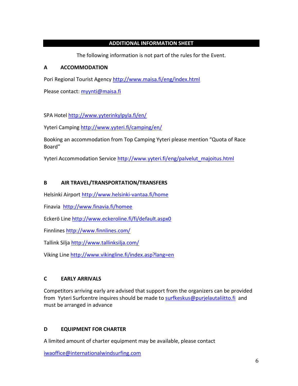#### **ADDITIONAL INFORMATION SHEET**

The following information is not part of the rules for the Event.

#### **A ACCOMMODATION**

Pori Regional Tourist Agency<http://www.maisa.fi/eng/index.html>

Please contact: [myynti@maisa.fi](mailto:myynti@maisa.fi)

SPA Hotel<http://www.yyterinkylpyla.fi/en/>

Yyteri Camping<http://www.yyteri.fi/camping/en/>

Booking an accommodation from Top Camping Yyteri please mention "Quota of Race Board"

Yyteri Accommodation Service [http://www.yyteri.fi/eng/palvelut\\_majoitus.html](http://www.yyteri.fi/eng/palvelut_majoitus.html)

#### **B AIR TRAVEL/TRANSPORTATION/TRANSFERS**

Helsinki Airport<http://www.helsinki-vantaa.fi/home>

Finavia <http://www.finavia.fi/homee>

Eckerö Line<http://www.eckeroline.fi/fi/default.aspx0>

Finnlines<http://www.finnlines.com/>

Tallink Silja<http://www.tallinksilja.com/>

Viking Line<http://www.vikingline.fi/index.asp?lang=en>

# **C EARLY ARRIVALS**

Competitors arriving early are advised that support from the organizers can be provided from Yyteri Surfcentre inquires should be made to [surfkeskus@purjelautaliitto.fi](mailto:surfkeskus@purjelautaliitto.fi) and must be arranged in advance

# **D EQUIPMENT FOR CHARTER**

A limited amount of charter equipment may be available, please contact

[iwaoffice@internationalwindsurfing.com](mailto:iwaoffice@internationalwindsurfing.com)